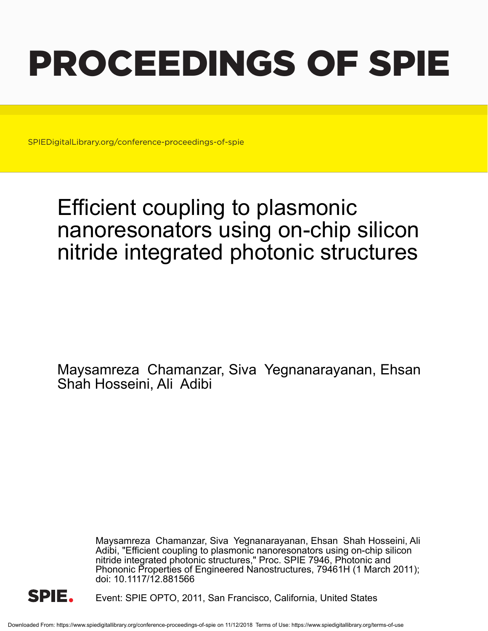# PROCEEDINGS OF SPIE

SPIEDigitalLibrary.org/conference-proceedings-of-spie

## Efficient coupling to plasmonic nanoresonators using on-chip silicon nitride integrated photonic structures

Maysamreza Chamanzar, Siva Yegnanarayanan, Ehsan Shah Hosseini, Ali Adibi

> Maysamreza Chamanzar, Siva Yegnanarayanan, Ehsan Shah Hosseini, Ali Adibi, "Efficient coupling to plasmonic nanoresonators using on-chip silicon nitride integrated photonic structures," Proc. SPIE 7946, Photonic and Phononic Properties of Engineered Nanostructures, 79461H (1 March 2011); doi: 10.1117/12.881566



Event: SPIE OPTO, 2011, San Francisco, California, United States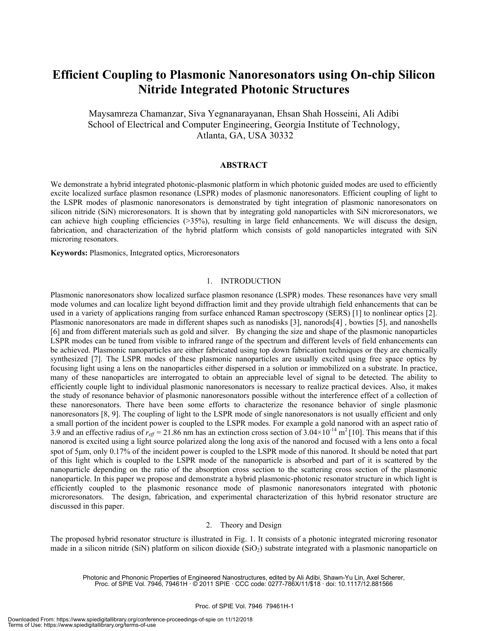### **Efficient Coupling to Plasmonic Nanoresonators using On-chip Silicon Nitride Integrated Photonic Structures**

Maysamreza Chamanzar, Siva Yegnanarayanan, Ehsan Shah Hosseini, Ali Adibi School of Electrical and Computer Engineering, Georgia Institute of Technology, Atlanta, GA, USA 30332

#### **ABSTRACT**

We demonstrate a hybrid integrated photonic-plasmonic platform in which photonic guided modes are used to efficiently excite localized surface plasmon resonance (LSPR) modes of plasmonic nanoresonators. Efficient coupling of light to the LSPR modes of plasmonic nanoresonators is demonstrated by tight integration of plasmonic nanoresonators on silicon nitride (SiN) microresonators. It is shown that by integrating gold nanoparticles with SiN microresonators, we can achieve high coupling efficiencies  $(35\%)$ , resulting in large field enhancements. We will discuss the design, fabrication, and characterization of the hybrid platform which consists of gold nanoparticles integrated with SiN microring resonators.

**Keywords:** Plasmonics, Integrated optics, Microresonators

#### 1. INTRODUCTION

Plasmonic nanoresonators show localized surface plasmon resonance (LSPR) modes. These resonances have very small mode volumes and can localize light beyond diffraction limit and they provide ultrahigh field enhancements that can be used in a variety of applications ranging from surface enhanced Raman spectroscopy (SERS) [1] to nonlinear optics [2]. Plasmonic nanoresonators are made in different shapes such as nanodisks [3], nanorods[4] , bowties [5], and nanoshells [6] and from different materials such as gold and silver. By changing the size and shape of the plasmonic nanoparticles LSPR modes can be tuned from visible to infrared range of the spectrum and different levels of field enhancements can be achieved. Plasmonic nanoparticles are either fabricated using top down fabrication techniques or they are chemically synthesized [7]. The LSPR modes of these plasmonic nanoparticles are usually excited using free space optics by focusing light using a lens on the nanoparticles either dispersed in a solution or immobilized on a substrate. In practice, many of these nanoparticles are interrogated to obtain an appreciable level of signal to be detected. The ability to efficiently couple light to individual plasmonic nanoresonators is necessary to realize practical devices. Also, it makes the study of resonance behavior of plasmonic nanoresonators possible without the interference effect of a collection of these nanoresonators. There have been some efforts to characterize the resonance behavior of single plasmonic nanoresonators [8, 9]. The coupling of light to the LSPR mode of single nanoresonators is not usually efficient and only a small portion of the incident power is coupled to the LSPR modes. For example a gold nanorod with an aspect ratio of 3.9 and an effective radius of  $r_{\text{eff}}$  = 21.86 nm has an extinction cross section of 3.04×10<sup>-14</sup> m<sup>2</sup> [10]. This means that if this nanorod is excited using a light source polarized along the long axis of the nanorod and focused with a lens onto a focal spot of 5μm, only 0.17% of the incident power is coupled to the LSPR mode of this nanorod. It should be noted that part of this light which is coupled to the LSPR mode of the nanoparticle is absorbed and part of it is scattered by the nanoparticle depending on the ratio of the absorption cross section to the scattering cross section of the plasmonic nanoparticle. In this paper we propose and demonstrate a hybrid plasmonic-photonic resonator structure in which light is efficiently coupled to the plasmonic resonance mode of plasmonic nanoresonators integrated with photonic microresonators. The design, fabrication, and experimental characterization of this hybrid resonator structure are discussed in this paper.

#### 2. Theory and Design

The proposed hybrid resonator structure is illustrated in Fig. 1. It consists of a photonic integrated microring resonator made in a silicon nitride (SiN) platform on silicon dioxide  $(SiO<sub>2</sub>)$  substrate integrated with a plasmonic nanoparticle on

Photonic and Phononic Properties of Engineered Nanostructures, edited by Ali Adibi, Shawn-Yu Lin, Axel Scherer, Proc. of SPIE Vol. 7946, 79461H · © 2011 SPIE · CCC code: 0277-786X/11/\$18 · doi: 10.1117/12.881566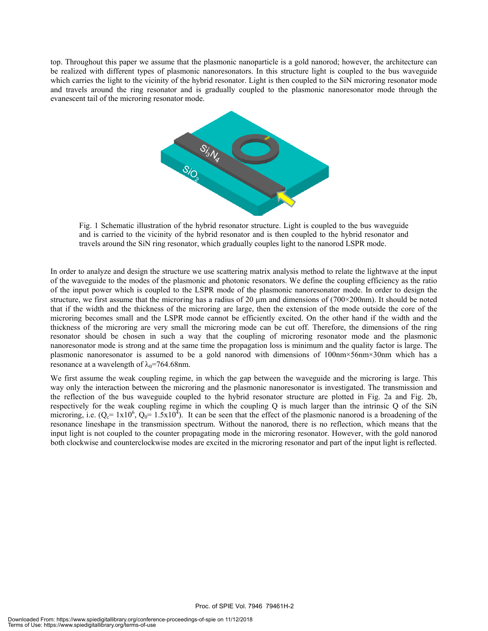top. Throughout this paper we assume that the plasmonic nanoparticle is a gold nanorod; however, the architecture can be realized with different types of plasmonic nanoresonators. In this structure light is coupled to the bus waveguide which carries the light to the vicinity of the hybrid resonator. Light is then coupled to the SiN microring resonator mode and travels around the ring resonator and is gradually coupled to the plasmonic nanoresonator mode through the evanescent tail of the microring resonator mode.



Fig. 1 Schematic illustration of the hybrid resonator structure. Light is coupled to the bus waveguide and is carried to the vicinity of the hybrid resonator and is then coupled to the hybrid resonator and travels around the SiN ring resonator, which gradually couples light to the nanorod LSPR mode.

In order to analyze and design the structure we use scattering matrix analysis method to relate the lightwave at the input of the waveguide to the modes of the plasmonic and photonic resonators. We define the coupling efficiency as the ratio of the input power which is coupled to the LSPR mode of the plasmonic nanoresonator mode. In order to design the structure, we first assume that the microring has a radius of 20  $\mu$ m and dimensions of (700×200nm). It should be noted that if the width and the thickness of the microring are large, then the extension of the mode outside the core of the microring becomes small and the LSPR mode cannot be efficiently excited. On the other hand if the width and the thickness of the microring are very small the microring mode can be cut off. Therefore, the dimensions of the ring resonator should be chosen in such a way that the coupling of microring resonator mode and the plasmonic nanoresonator mode is strong and at the same time the propagation loss is minimum and the quality factor is large. The plasmonic nanoresonator is assumed to be a gold nanorod with dimensions of 100nm×56nm×30nm which has a resonance at a wavelength of  $\lambda_0$ =764.68nm.

We first assume the weak coupling regime, in which the gap between the waveguide and the microring is large. This way only the interaction between the microring and the plasmonic nanoresonator is investigated. The transmission and the reflection of the bus waveguide coupled to the hybrid resonator structure are plotted in Fig. 2a and Fig. 2b, respectively for the weak coupling regime in which the coupling Q is much larger than the intrinsic Q of the SiN microring, i.e.  $(Q_c = 1x10^6, Q_0 = 1.5x10^4)$ . It can be seen that the effect of the plasmonic nanorod is a broadening of the resonance lineshape in the transmission spectrum. Without the nanorod, there is no reflection, which means that the input light is not coupled to the counter propagating mode in the microring resonator. However, with the gold nanorod both clockwise and counterclockwise modes are excited in the microring resonator and part of the input light is reflected.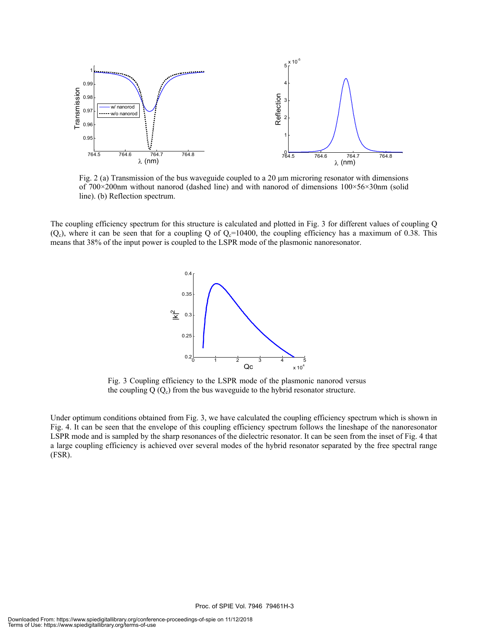

Fig. 2 (a) Transmission of the bus waveguide coupled to a 20 μm microring resonator with dimensions of 700×200nm without nanorod (dashed line) and with nanorod of dimensions 100×56×30nm (solid line). (b) Reflection spectrum.

The coupling efficiency spectrum for this structure is calculated and plotted in Fig. 3 for different values of coupling Q  $(Q_c)$ , where it can be seen that for a coupling Q of  $Q_c=10400$ , the coupling efficiency has a maximum of 0.38. This means that 38% of the input power is coupled to the LSPR mode of the plasmonic nanoresonator.



Fig. 3 Coupling efficiency to the LSPR mode of the plasmonic nanorod versus the coupling  $Q(Q_c)$  from the bus waveguide to the hybrid resonator structure.

Under optimum conditions obtained from Fig. 3, we have calculated the coupling efficiency spectrum which is shown in Fig. 4. It can be seen that the envelope of this coupling efficiency spectrum follows the lineshape of the nanoresonator LSPR mode and is sampled by the sharp resonances of the dielectric resonator. It can be seen from the inset of Fig. 4 that a large coupling efficiency is achieved over several modes of the hybrid resonator separated by the free spectral range (FSR).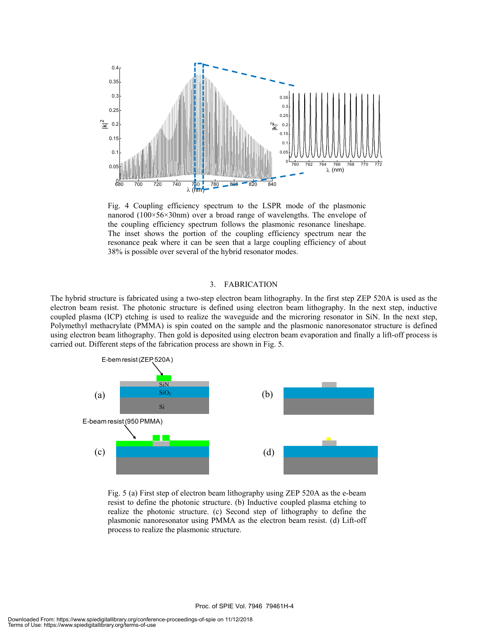

Fig. 4 Coupling efficiency spectrum to the LSPR mode of the plasmonic nanorod (100×56×30nm) over a broad range of wavelengths. The envelope of the coupling efficiency spectrum follows the plasmonic resonance lineshape. The inset shows the portion of the coupling efficiency spectrum near the resonance peak where it can be seen that a large coupling efficiency of about 38% is possible over several of the hybrid resonator modes.

#### 3. FABRICATION

The hybrid structure is fabricated using a two-step electron beam lithography. In the first step ZEP 520A is used as the electron beam resist. The photonic structure is defined using electron beam lithography. In the next step, inductive coupled plasma (ICP) etching is used to realize the waveguide and the microring resonator in SiN. In the next step, Polymethyl methacrylate (PMMA) is spin coated on the sample and the plasmonic nanoresonator structure is defined using electron beam lithography. Then gold is deposited using electron beam evaporation and finally a lift-off process is carried out. Different steps of the fabrication process are shown in Fig. 5.



Fig. 5 (a) First step of electron beam lithography using ZEP 520A as the e-beam resist to define the photonic structure. (b) Inductive coupled plasma etching to realize the photonic structure. (c) Second step of lithography to define the plasmonic nanoresonator using PMMA as the electron beam resist. (d) Lift-off process to realize the plasmonic structure.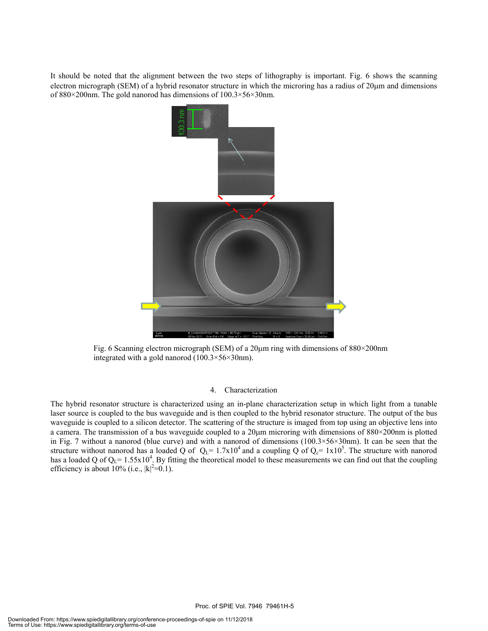It should be noted that the alignment between the two steps of lithography is important. Fig. 6 shows the scanning electron micrograph (SEM) of a hybrid resonator structure in which the microring has a radius of 20μm and dimensions of 880×200nm. The gold nanorod has dimensions of 100.3×56×30nm.



Fig. 6 Scanning electron micrograph (SEM) of a 20μm ring with dimensions of 880×200nm integrated with a gold nanorod (100.3×56×30nm).

#### 4. Characterization

The hybrid resonator structure is characterized using an in-plane characterization setup in which light from a tunable laser source is coupled to the bus waveguide and is then coupled to the hybrid resonator structure. The output of the bus waveguide is coupled to a silicon detector. The scattering of the structure is imaged from top using an objective lens into a camera. The transmission of a bus waveguide coupled to a 20μm microring with dimensions of 880×200nm is plotted in Fig. 7 without a nanorod (blue curve) and with a nanorod of dimensions (100.3×56×30nm). It can be seen that the structure without nanorod has a loaded Q of  $Q_L$ = 1.7x10<sup>4</sup> and a coupling Q of  $Q_c$ = 1x10<sup>5</sup>. The structure with nanorod has a loaded Q of  $Q_L$ = 1.55x10<sup>4</sup>. By fitting the theoretical model to these measurements we can find out that the coupling efficiency is about 10% (i.e.,  $|k|^2 = 0.1$ ).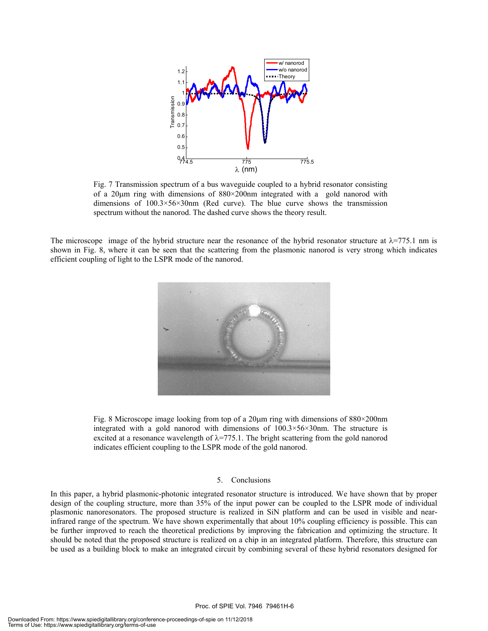

Fig. 7 Transmission spectrum of a bus waveguide coupled to a hybrid resonator consisting of a 20μm ring with dimensions of 880×200nm integrated with a gold nanorod with dimensions of  $100.3 \times 56 \times 30$ nm (Red curve). The blue curve shows the transmission spectrum without the nanorod. The dashed curve shows the theory result.

The microscope image of the hybrid structure near the resonance of the hybrid resonator structure at  $\lambda$ =775.1 nm is shown in Fig. 8, where it can be seen that the scattering from the plasmonic nanorod is very strong which indicates efficient coupling of light to the LSPR mode of the nanorod.





#### 5. Conclusions

In this paper, a hybrid plasmonic-photonic integrated resonator structure is introduced. We have shown that by proper design of the coupling structure, more than 35% of the input power can be coupled to the LSPR mode of individual plasmonic nanoresonators. The proposed structure is realized in SiN platform and can be used in visible and nearinfrared range of the spectrum. We have shown experimentally that about 10% coupling efficiency is possible. This can be further improved to reach the theoretical predictions by improving the fabrication and optimizing the structure. It should be noted that the proposed structure is realized on a chip in an integrated platform. Therefore, this structure can be used as a building block to make an integrated circuit by combining several of these hybrid resonators designed for